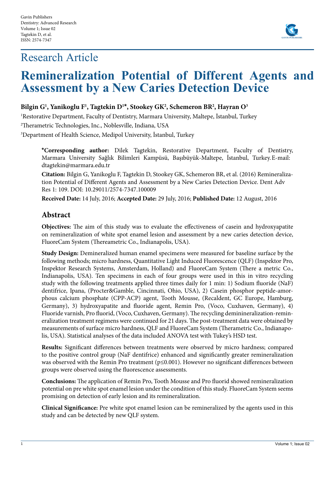# Research Article



# **Remineralization Potential of Different Agents and Assessment by a New Caries Detection Device**

## **Bilgin G1 , Yanikoglu F1 , Tagtekin D1 \*, Stookey GK2 , Schemeron BR2 , Hayran O3**

1 Restorative Department, Faculty of Dentistry, Marmara University, Maltepe, İstanbul, Turkey

2 Therametric Technologies, Inc., Noblesville, Indiana, USA

3 Department of Health Science, Medipol University, İstanbul, Turkey

**\*Corresponding author:** Dilek Tagtekin, Restorative Department, Faculty of Dentistry, Marmara University Sağlık Bilimleri Kampüsü, Başıbüyük-Maltepe, İstanbul, Turkey.E-mail: dtagtekin@marmara.edu.tr

**Citation:** Bilgin G, Yanikoglu F, Tagtekin D, Stookey GK, Schemeron BR, et al. (2016) Remineralization Potential of Different Agents and Assessment by a New Caries Detection Device. Dent Adv Res 1: 109. DOI: 10.29011/2574-7347.100009

**Received Date:** 14 July, 2016; **Accepted Date:** 29 July, 2016; **Published Date:** 12 August, 2016

## **Abstract**

**Objectives:** The aim of this study was to evaluate the effectiveness of casein and hydroxyapatite on remineralization of white spot enamel lesion and assessment by a new caries detection device, FluoreCam System (Thereametric Co., Indianapolis, USA).

**Study Design:** Demineralized human enamel specimens were measured for baseline surface by the following methods; micro hardness, Quantitative Light Induced Fluorescence (QLF) (Inspektor Pro, Inspektor Research Systems, Amsterdam, Holland) and FluoreCam System (There a metric Co., Indianapolis, USA). Ten specimens in each of four groups were used in this in vitro recycling study with the following treatments applied three times daily for 1 min: 1) Sodium fluoride (NaF) dentifrice, Ipana, (Procter&Gamble, Cincinnati, Ohio, USA), 2) Casein phosphor peptide-amorphous calcium phosphate (CPP-ACP) agent, Tooth Mousse, (Recaldent, GC Europe, Hamburg, Germany), 3) hydroxyapatite and fluoride agent, Remin Pro, (Voco, Cuxhaven, Germany), 4) Fluoride varnish, Pro fluorid, (Voco, Cuxhaven, Germany). The recycling deminineralization-remineralization treatment regimens were continued for 21 days. The post-treatment data were obtained by measurements of surface micro hardness, QLF and FluoreCam System (Therametric Co., Indianapolis, USA). Statistical analyses of the data included ANOVA test with Tukey's HSD test.

**Results:** Significant differences between treatments were observed by micro hardness; compared to the positive control group (NaF dentifrice) enhanced and significantly greater remineralization was observed with the Remin Pro treatment (p≤0.001). However no significant differences between groups were observed using the fluorescence assessments.

**Conclusions:** The application of Remin Pro, Tooth Mousse and Pro fluorid showed remineralization potential on pre white spot enamel lesion under the condition of this study. FluoreCam System seems promising on detection of early lesion and its remineralization.

**Clinical Significance:** Pre white spot enamel lesion can be remineralized by the agents used in this study and can be detected by new QLF system.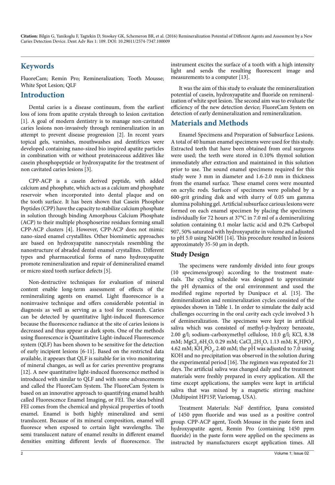# **Keywords**

FluoreCam; Remin Pro; Remineralization; Tooth Mousse; White Spot Lesion; QLF

## **Introduction**

Dental caries is a disease continuum, from the earliest loss of ions from apatite crystals through to lesion cavitation [1]. A goal of modern dentistry is to manage non-cavitated caries lesions non-invasively through remineralization in an attempt to prevent disease progression [2]. In recent years topical gels, varnishes, mouthwashes and dentifrices were developed containing nano-sized bio inspired apatite particles in combination with or without proteinaceous additives like casein phosphopeptide or hydroxyapatite for the treatment of non cavitated caries lesions [3].

CPP-ACP is a casein derived peptide, with added calcium and phosphate, which acts as a calcium and phosphate reservoir when incorporated into dental plaque and on the tooth surface. It has been shown that Casein Phosphor Peptides (CPP) have the capacity to stabilize calcium phosphate in solution through binding Amorphous Calcium Phosphate (ACP) to their multiple phosphoserine residues forming small CPP-ACP clusters [4]. However, CPP-ACP does not mimic nano-sized enamel crystallites. Other biomimetic approaches are based on hydroxyapatite nanocrystals resembling the nanostructure of abraded dental enamel crystallites. Different types and pharmaceutical forms of nano hydroxyapatite promote remineralization and repair of demineralized enamel or micro sized tooth surface defects [5].

Non-destructive techniques for evaluation of mineral content enable long-term assessment of effects of the remineralizing agents on enamel. Light fluorescence is a noninvasive technique and offers considerable potential in diagnosis as well as serving as a tool for research. Caries can be detected by quantitative light-induced fluorescence because the fluorescence radiance at the site of caries lesions is decreased and thus appear as dark spots. One of the methods using fluorescence is Quantitative Light-induced Fluorescence system (QLF) has been shown to be sensitive for the detection of early incipient lesions [6-11]. Based on the restricted data available, it appears that QLF is suitable for in vivo monitoring of mineral changes, as well as for caries preventive programs [12]. A new quantitative light-induced fluorescence method is introduced with similar to QLF and with some advancements and called the FluoreCam System. The FluoreCam System is based on an innovative approach to quantifying enamel health called Fluorescence Enamel Imaging, or FEI. The idea behind FEI comes from the chemical and physical properties of tooth enamel. Enamel is both highly mineralized and semi translucent. Because of its mineral composition, enamel will fluoresce when exposed to certain light wavelengths. The semi translucent nature of enamel results in different enamel densities emitting different levels of fluorescence. The

instrument excites the surface of a tooth with a high intensity light and sends the resulting fluorescent image and measurements to a computer [13].

It was the aim of this study to evaluate the remineralization potential of casein, hydroxyapatite and fluoride on remineralization of white spot lesion. The second aim was to evaluate the efficiency of the new detection device; FluoreCam System on detection of early demineralization and remineralization.

## **Materials and Methods**

Enamel Specimens and Preparation of Subsurface Lesions. A total of 40 human enamel specimens were used for this study. Extracted teeth that have been obtained from oral surgeons were used; the teeth were stored in 0.10% thymol solution immediately after extraction and maintained in this solution prior to use. The sound enamel specimens required for this study were 3 mm in diameter and 1.6-2.0 mm in thickness from the enamel surface. These enamel cores were mounted on acrylic rods. Surfaces of specimens were polished by a 600-grit grinding disk and with slurry of 0.05 um gamma alumina polishing gel. Artificial subsurface carious lesions were formed on each enamel specimen by placing the specimens individually for 72 hours at 37°C in 7.0 ml of a demineralizing solution containing 0.1 molar lactic acid and 0.2% Carbopol 907, 50% saturated with hydroxyapatite in volume and adjusted to pH 5.0 using NaOH [14]. This procedure resulted in lesions approximately 35-50 µm in depth.

## **Study Design**

The specimens were randomly divided into four groups (10 specimens/group) according to the treatment materials. The cycling schedule was designed to approximate the pH dynamics of the oral environment and used the modified regime reported by Dunipace et al. [15]. The demineralization and remineralization cycles consisted of the episodes shown in Table 1. In order to simulate the daily acid challenges occurring in the oral cavity each cycle involved 3 h of demineralization. The specimens were kept in artificial saliva which was consisted of methyl-p-hydroxy benzoate, 2.00 g/l; sodium-carboxymethyl cellulose, 10.0 g/l; KCl, 8.38 mM; MgCl<sub>2</sub>.6H<sub>2</sub>O, 0.29 mM; CaCl<sub>2</sub>.2H<sub>2</sub>O, 1.13 mM; K<sub>2</sub>HPO<sub>4</sub>, 4.62 mM;  $\text{KH}_{2}\text{PO}_{4}$ , 2.40 mM; the pH was adjusted to 7.0 using KOH and no precipitation was observed in the solution during the experimental period [16]. The regimen was repeated for 21 days. The artificial saliva was changed daily and the treatment materials were freshly prepared in every application. All the time except applications, the samples were kept in artificial saliva that was mixed by a magnetic stirring machine (Multipoint HP15P, Variomag, USA).

Treatment Materials: NaF dentifrice, Ipana consisted of 1450 ppm fluoride and was used as a positive control group. CPP-ACP agent, Tooth Mousse in the paste form and hydroxyapatite agent, Remin Pro (containing 1450 ppm fluoride) in the paste form were applied on the specimens as instructed by manufacturers except application times. All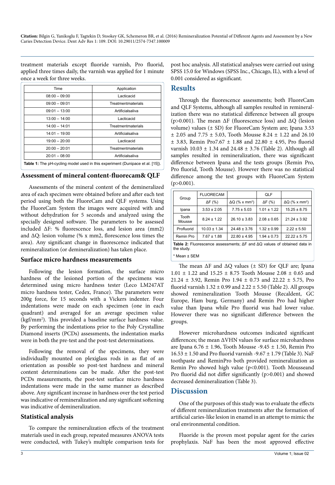treatment materials except fluoride varnish, Pro fluorid, applied three times daily, the varnish was applied for 1 minute once a week for three weeks.

| Time                                                                                 | Application        |  |  |
|--------------------------------------------------------------------------------------|--------------------|--|--|
| $08:00 - 09:00$                                                                      | Lacticacid         |  |  |
| $09:00 - 09:01$                                                                      | Treatmentmaterials |  |  |
| $09:01 - 13:00$                                                                      | Artificialsaliva   |  |  |
| $13:00 - 14:00$                                                                      | Lacticacid         |  |  |
| $14:00 - 14:01$                                                                      | Treatmentmaterials |  |  |
| $14:01 - 19:00$                                                                      | Artificialsaliva   |  |  |
| $19:00 - 20:00$                                                                      | Lacticacid         |  |  |
| $20:00 - 20:01$                                                                      | Treatmentmaterials |  |  |
| $20:01 - 08:00$                                                                      | Artificialsaliva   |  |  |
| <b>Table 1:</b> The pH-cycling model used in this experiment (Dunipace et al. [15]). |                    |  |  |

#### **Assessment of mineral content-fluorecam& QLF**

Assessments of the mineral content of the demineralized area of each specimen were obtained before and after each test period using both the FluoreCam and QLF systems. Using the FluoreCam System the images were acquired with and without dehydration for 5 seconds and analyzed using the specially designed software. The parameters to be assessed included ΔF: % fluorescence loss, and lesion area (mm2) and ΔQ: lesion volume (% x mm2, florescence loss times the area). Any significant change in fluorescence indicated that remineralization (or demineralization) has taken place.

#### **Surface micro hardness measurements**

Following the lesion formation, the surface micro hardness of the lesioned portion of the specimens was determined using micro hardness tester (Leco LM247AT micro hardness tester, Cedex, France). The parameters were 200g force, for 15 seconds with a Vickers indenter. Four indentations were made on each specimen (one in each quadrant) and averaged for an average specimen value (kgf/mm<sup>2</sup>). This provided a baseline surface hardness value. By performing the indentations prior to the Poly Crystalline Diamond inserts (PCDs) assessments, the indentation marks were in both the pre-test and the post-test determinations.

Following the removal of the specimens, they were individually mounted on plexiglass rods in as flat of an orientation as possible so post-test hardness and mineral content determinations can be made. After the post-test PCDs measurements, the post-test surface micro hardness indentations were made in the same manner as described above. Any significant increase in hardness over the test period was indicative of remineralization and any significant softening was indicative of demineralization.

#### **Statistical analysis**

To compare the remineralization effects of the treatment materials used in each group, repeated measures ANOVA tests were conducted, with Tukey's multiple comparison tests for

post hoc analysis. All statistical analyses were carried out using SPSS 15.0 for Windows (SPSS Inc., Chicago, IL), with a level of 0.001 considered as significant.

## **Results**

Through the fluorescence assessments; both FluoreCam and QLF Systems, although all samples resulted in remineralization there was no statistical difference between all groups (p>0.001). The mean  $\Delta F$  (fluorescence loss) and  $\Delta Q$  (lesion volume) values (± SD) for FluoreCam System are; Ipana 3.53 ± 2.05 and 7.75 ± 5.03, Tooth Mousse 8.24 ± 1.22 and 26.10 ± 3.83, Remin Pro7.67 ± 1.88 and 22.80 ± 4.95, Pro fluorid varnish  $10.03 \pm 1.34$  and  $24.48 \pm 3.76$  (Table 2). Although all samples resulted in remineralization, there was significant difference between Ipana and the tests groups (Remin Pro, Pro fluorid, Tooth Mousse). However there was no statistical difference among the test groups with FluoreCam System  $(p>0.001)$ .

| Group                                                                                                        | <b>FLUORECAM</b> |                                   | QLF             |                                   |  |  |
|--------------------------------------------------------------------------------------------------------------|------------------|-----------------------------------|-----------------|-----------------------------------|--|--|
|                                                                                                              | $\Delta F$ (%)   | $\Delta Q$ (% x mm <sup>2</sup> ) | $\Delta F$ (%)  | $\Delta Q$ (% x mm <sup>2</sup> ) |  |  |
| Ipana                                                                                                        | $3.53 \pm 2.05$  | $7.75 \pm 5.03$                   | $1.01 \pm 1.22$ | $15.25 \pm 8.75$                  |  |  |
| Tooth<br>Mousse                                                                                              | $8.24 \pm 1.22$  | $26.10 \pm 3.83$                  | $2.08 \pm 0.65$ | $21.24 \pm 3.92$                  |  |  |
| Profluorid                                                                                                   | $10.03 \pm 1.34$ | $24.48 \pm 3.76$                  | $1.32 \pm 0.99$ | $2.22 \pm 5.50$                   |  |  |
| Remin Pro                                                                                                    | $7.67 \pm 1.88$  | $22.80 \pm 4.95$                  | $1.94 \pm 0.73$ | $22.22 \pm 5.75$                  |  |  |
| <b>Table 2:</b> Fluorescence assessments; $\Delta F$ and $\Delta Q$ values of obtained data in<br>the study. |                  |                                   |                 |                                   |  |  |
| * Mean ± SEM                                                                                                 |                  |                                   |                 |                                   |  |  |

The mean  $\Delta F$  and  $\Delta Q$  values ( $\pm$  SD) for QLF are; Ipana 1.01 ± 1.22 and 15.25 ± 8.75 Tooth Mousse 2.08 ± 0.65 and 21.24 ± 3.92, Remin Pro 1.94 ± 0.73 and 22.22 ± 5.75, Pro fluorid varnish  $1.32 \pm 0.99$  and  $2.22 \pm 5.50$  (Table 2). All groups showed remineralization Tooth Mousse (Recaldent, GC Europe, Ham burg, Germany) and Remin Pro had higher value than Ipana while Pro fluorid was had lower value. However there was no significant difference between the groups.

However microhardness outcomes indicated significant differences; the mean ΔVHN values for surface microhardness are Ipana  $6.76 \pm 1.96$ , Tooth Mousse -9.45  $\pm$  1.50, Remin Pro  $16.53 \pm 1.50$  and Pro fluorid varnish -9.67  $\pm$  1.79 (Table 3). NaF toothpaste and ReminPro both provided remineralization as Remin Pro showed high value  $(p<0.001)$ . Tooth Mousseand Pro fluorid did not differ significantly (p>0.001) and showed decreased demineralization (Table 3).

## **Discussion**

One of the purposes of this study was to evaluate the effects of different remineralization treatments after the formation of artificial caries-like lesion in enamel in an attempt to mimic the oral environmental condition.

Fluoride is the proven most popular agent for the caries prophylaxis. NaF has been the most approved effective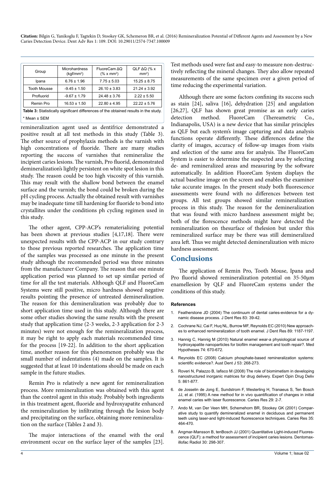| Group                                                                                | Microhardness<br>(kqf/mm <sup>2</sup> ) | FluoreCam AO<br>$(\% \times \text{mm}^2)$ | QLF $\Delta Q$ (% x<br>$mm2$ ) |  |  |  |
|--------------------------------------------------------------------------------------|-----------------------------------------|-------------------------------------------|--------------------------------|--|--|--|
| Ipana                                                                                | $6.76 \pm 1.96$                         | $7.75 \pm 5.03$                           | $15.25 \pm 8.75$               |  |  |  |
| <b>Tooth Mousse</b>                                                                  | $-9.45 \pm 1.50$                        | $26.10 \pm 3.83$                          | $21.24 \pm 3.92$               |  |  |  |
| Profluorid                                                                           | $-9.67 \pm 1.79$                        | $24.48 \pm 3.76$                          | $2.22 \pm 5.50$                |  |  |  |
| Remin Pro                                                                            | $16.53 \pm 1.50$                        | $22.80 \pm 4.95$                          | $22.22 \pm 5.76$               |  |  |  |
| Table 3: Statistically significant differences of the obtained results in the study. |                                         |                                           |                                |  |  |  |
| * Mean ± SEM                                                                         |                                         |                                           |                                |  |  |  |

remineralization agent used as dentifrice demonstrated a positive result at all test methods in this study (Table 3). The other source of prophylaxis methods is the varnish with high concentrations of fluoride. There are many studies reporting the success of varnishes that remineralize the incipient caries lesions. The varnish, Pro fluorid, demonstrated demineralization's lightly persistent on white spot lesion in this study. The reason could be too high viscosity of this varnish. This may result with the shallow bond between the enamel surface and the varnish; the bond could be broken during the pH cycling process. Actually the obtained result with varnishes may be inadequate time till hardening for fluoride to bond into crystallites under the conditions ph cycling regimen used in this study.

The other agent, CPP-ACP's rematerializing potential has been shown at previous studies [4,17,18]. There were unexpected results with the CPP-ACP in our study contrary to those previous reported researches. The application time of the samples was processed as one minute in the present study although the recommended period was three minutes from the manufacturer Company. The reason that one minute application period was planned to set up similar period of time for all the test materials. Although QLF and FluoreCam Systems were still positive, micro hardness showed negative results pointing the presence of untreated demineralization. The reason for this demineralization was probably due to short application time used in this study. Although there are some other studies showing the same results with the present study that application time (2-3 weeks, 2-3 application for 2-3 minutes) were not enough for the remineralization process, it may be right to apply each materials recommended time for the process [19-22]. In addition to the short application time, another reason for this phenomenon probably was the small number of indentations (4) made on the samples. It is suggested that at least 10 indentations should be made on each sample in the future studies.

Remin Pro is relatively a new agent for remineralization process. More remineralization was obtained with this agent than the control agent in this study. Probably both ingredients in this treatment agent, fluoride and hydroxyapatite enhanced the remineralization by infiltrating through the lesion body and precipitating on the surface, obtaining more remineralization on the surface (Tables 2 and 3).

The major interactions of the enamel with the oral environment occur on the surface layer of the samples [23]. Test methods used were fast and easy-to measure non-destructively reflecting the mineral changes. They also allow repeated measurements of the same specimen over a given period of time reducing the experimental variation.

Although there are some factors confining its success such as stain [24], saliva [16], dehydration [25] and angulation [26,27], QLF has shown great promise as an early caries<br>detection method. FluoreCam (Thereametric Co., detection method. FluoreCam (Thereametric Co., Indianapolis, USA) is a new device that has similar principles as QLF but each system's image capturing and data analysis functions operate differently. These differences define the clarity of images, accuracy of follow-up images from visits and selection of the same area for analysis. The FluoreCam System is easier to determine the suspected area by selecting de- and remineralized areas and measuring by the software automatically. In addition FluoreCam System displays the actual baseline image on the screen and enables the examiner take accurate images. In the present study both fluorescence assessments were found with no differences between test groups. All test groups showed similar remineralization process in this study. The reason for the demineralization that was found with micro hardness assessment might be; both of the florescence methods might have detected the remineralization on thesurface of thelesion but under this remineralized surface may be there was still demineralized area left. Thus we might detected demineralization with micro hardness assessment.

## **Conclusions**

The application of Remin Pro, Tooth Mouse, Ipana and Pro fluorid showed remineralization potential on 35-50µm enamellesion by QLF and FluoreCam systems under the conditions of this study.

#### **References**

- 1. [Featherstone JD \(2004\) The continuum of dental caries-evidence for a dy](http://www.ncbi.nlm.nih.gov/pubmed/15286120)[namic disease process. J Dent Res 83: 39-42.](http://www.ncbi.nlm.nih.gov/pubmed/15286120)
- 2. [Cochrane NJ, Cai F, Huq NL, Burrow MF, Reynolds EC \(2010\) New approach](http://www.ncbi.nlm.nih.gov/pubmed/20739698)[es to enhanced remineralization of tooth enamel. J](http://www.ncbi.nlm.nih.gov/pubmed/20739698) Dent Res 89: 1187-1197.
- 3. Hannig C, Hannig M (2010) Natural [enamel wear-a physiological source of](http://www.essology.com/PDF/8-6-NaturalEnamelWear-aphysiologicalsourceofnanoHAforbiofilmmanagement.pdf)  [hydroxyapatite nanoparticles for biofilm](http://www.essology.com/PDF/8-6-NaturalEnamelWear-aphysiologicalsourceofnanoHAforbiofilmmanagement.pdf) management and tooth repair?. Med [Hypotheses 74: 670-672.](http://www.essology.com/PDF/8-6-NaturalEnamelWear-aphysiologicalsourceofnanoHAforbiofilmmanagement.pdf)
- 4. Reynolds EC ([2008\) Calcium phosphate-based remineralization systems:](http://www.ncbi.nlm.nih.gov/pubmed/18782374)  [scientific evidence?. Aust Dent](http://www.ncbi.nlm.nih.gov/pubmed/18782374) J 53: 268-273.
- 5. [Roveri N, Palazzo B, Iafisco M \(2008\) The role of biomimetism in developing](http://www.ncbi.nlm.nih.gov/pubmed/18712996)  [nanostructured inorganic matrices for drug delivery. Expert Opin Drug Deliv](http://www.ncbi.nlm.nih.gov/pubmed/18712996)  [5: 861-877.](http://www.ncbi.nlm.nih.gov/pubmed/18712996)
- 6. [de Josselin de Jong E, Sundstrom F, Westerling H, Tranaeus S, Ten Bosch](http://www.ncbi.nlm.nih.gov/pubmed/7867045)  [JJ, et al. \(1995\) A new method for in vivo quantification of changes in initial](http://www.ncbi.nlm.nih.gov/pubmed/7867045)  enamel caries with laser [fluorescence. Caries Res 29: 2-7.](http://www.ncbi.nlm.nih.gov/pubmed/7867045)
- 7. Ando M, van Der Veen [MH, Schemehorn BR, Stookey GK \(2001\) Compar](http://www.ncbi.nlm.nih.gov/pubmed/11799288)ative study to quantify [demineralized enamel in deciduous and permanent](http://www.ncbi.nlm.nih.gov/pubmed/11799288)  teeth using laser-and [light-induced fluorescence techniques. Caries Res 35:](http://www.ncbi.nlm.nih.gov/pubmed/11799288)  [464-470.](http://www.ncbi.nlm.nih.gov/pubmed/11799288)
- 8. Angmar-Mansson [B, tenBosch JJ \(2001\) Quantitative Light-induced Fluores](http://www.ncbi.nlm.nih.gov/pubmed/11641727)cence (QLF): a [method for assessment of incipient caries lesions. Dentomax](http://www.ncbi.nlm.nih.gov/pubmed/11641727)[illofac Radiol 30:](http://www.ncbi.nlm.nih.gov/pubmed/11641727) 298-307.